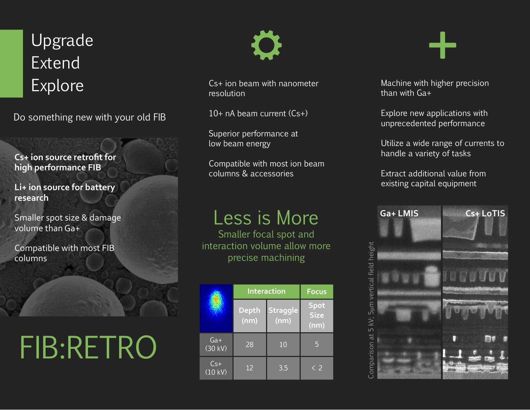### Upgrade Extend Explore

Do something new with your old FIB

**Cs+ ion source retrofit for high performance FIB** 

**Li+ ion source for battery research**

Smaller spot size & damage volume than Ga+

Compatible with most FIB columns

# FIB:RETRO



Cs+ ion beam with nanometer resolution

 $10+$  nA beam current  $(Cs+)$ 

Superior performance at low beam energy

Compatible with most ion beam columns & accessories

### Less is More

Smaller focal spot and interaction volume allow more precise machining

|                  | <b>Interaction</b>   |                         | <b>Focus</b>                |
|------------------|----------------------|-------------------------|-----------------------------|
|                  | <b>Depth</b><br>(nm) | <b>Straggle</b><br>(nm) | Spot<br><b>Size</b><br>(nm) |
| $Ga+$<br>(30 kV) | 28                   | 10                      | 5                           |
| $Cs+$<br>(10 kV) | 12                   | $\overline{3.5}$        | 〈 2                         |

Machine with higher precision than with Ga+

Explore new applications with unprecedented performance

Utilize a wide range of currents to handle a variety of tasks

Extract additional value from existing capital equipment